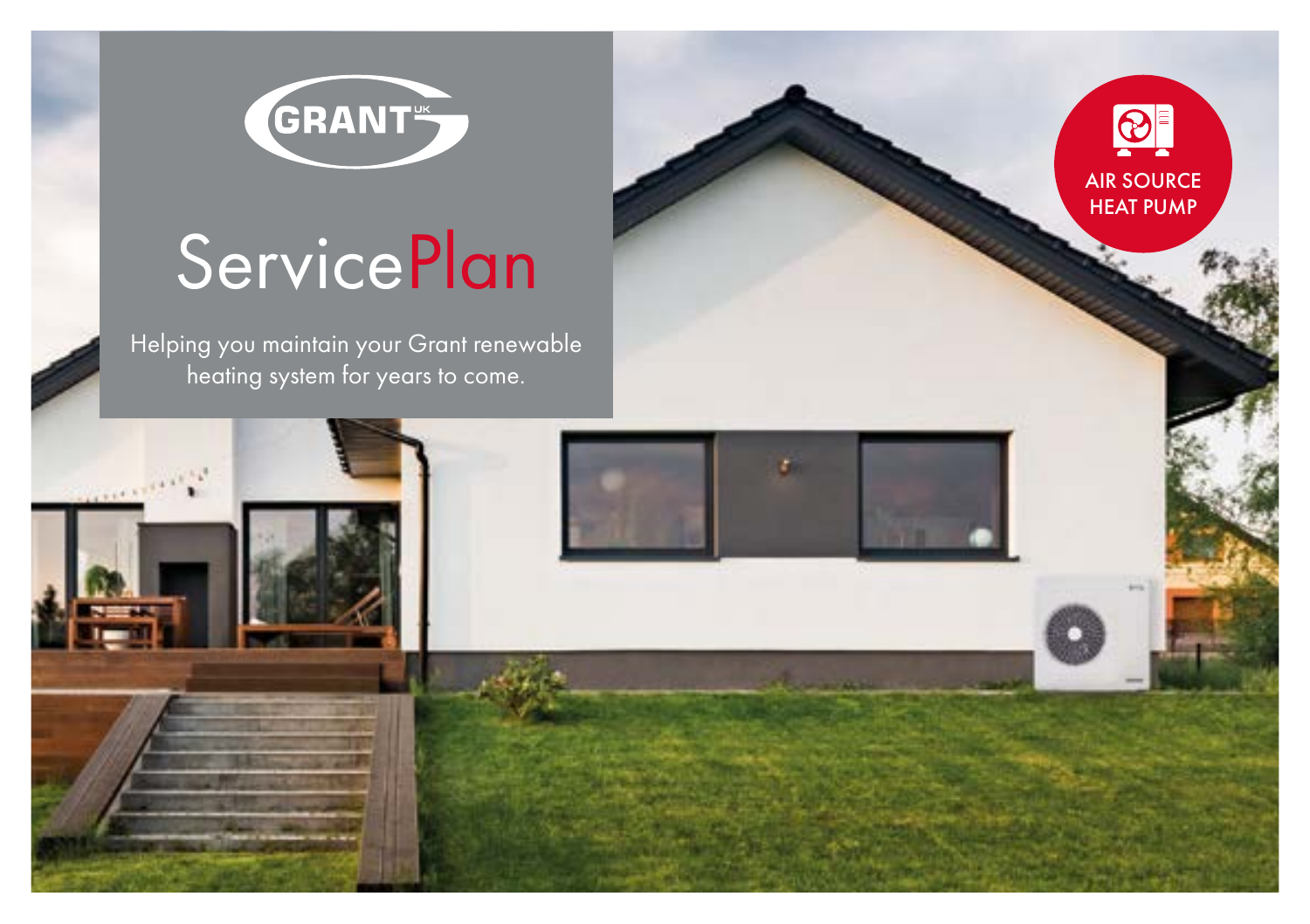

# **ServicePlan**

Helping you maintain your Grant renewable heating system for years to come.





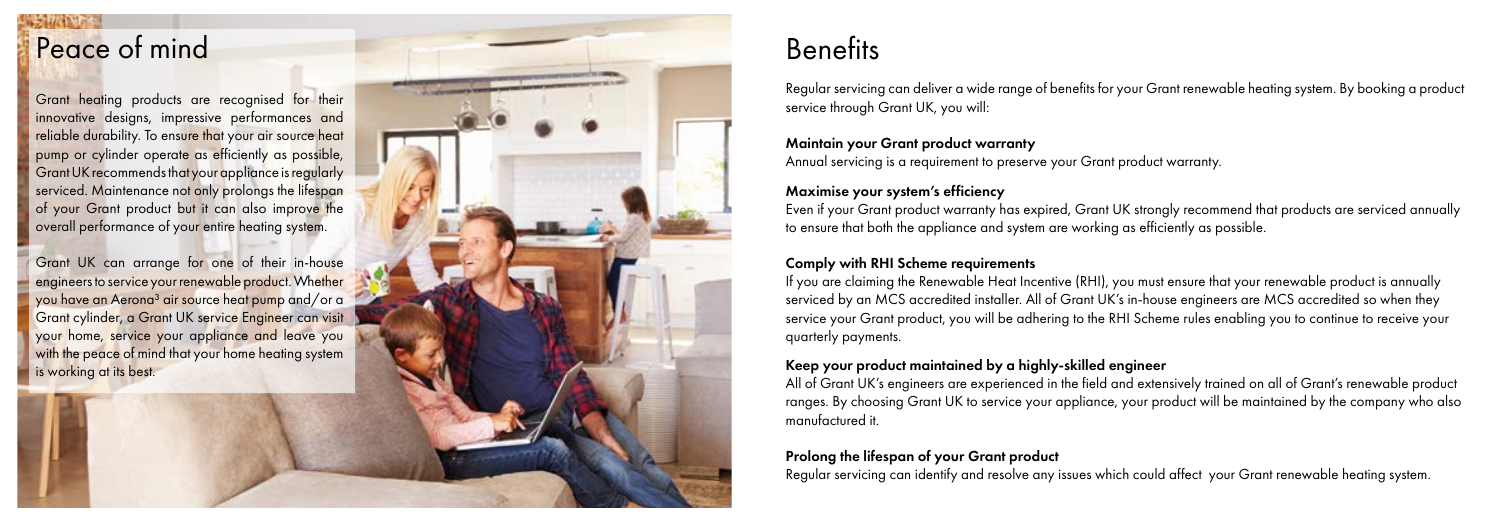Regular servicing can deliver a wide range of benefits for your Grant renewable heating system. By booking a product service through Grant UK, you will:

### Maintain your Grant product warranty

Annual servicing is a requirement to preserve your Grant product warranty.

### Maximise your system's efficiency

Even if your Grant product warranty has expired, Grant UK strongly recommend that products are serviced annually to ensure that both the appliance and system are working as efficiently as possible.

### Comply with RHI Scheme requirements

If you are claiming the Renewable Heat Incentive (RHI), you must ensure that your renewable product is annually serviced by an MCS accredited installer. All of Grant UK's in-house engineers are MCS accredited so when they service your Grant product, you will be adhering to the RHI Scheme rules enabling you to continue to receive your quarterly payments.

### Keep your product maintained by a highly-skilled engineer

All of Grant UK's engineers are experienced in the field and extensively trained on all of Grant's renewable product ranges. By choosing Grant UK to service your appliance, your product will be maintained by the company who also manufactured it.

## Prolong the lifespan of your Grant product

Regular servicing can identify and resolve any issues which could affect your Grant renewable heating system.

Grant heating products are recognised for their innovative designs, impressive performances and reliable durability. To ensure that your air source heat pump or cylinder operate as efficiently as possible, Grant UK recommends that your appliance is regularly serviced. Maintenance not only prolongs the lifespan of your Grant product but it can also improve the overall performance of your entire heating system.

Grant UK can arrange for one of their in-house engineers to service your renewable product. Whether you have an Aerona<sup>3</sup> air source heat pump and/or a Grant cylinder, a Grant UK service Engineer can visit your home, service your appliance and leave you with the peace of mind that your home heating system is working at its best.



## **Benefits**

## Peace of mind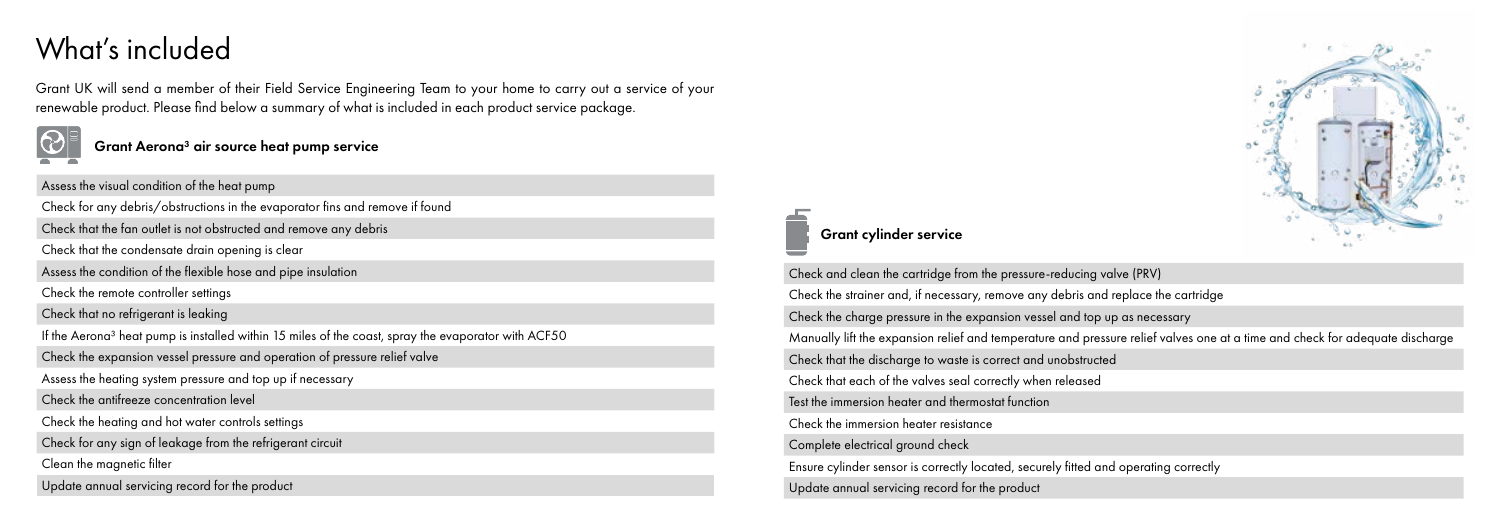Grant UK will send a member of their Field Service Engineering Team to your home to carry out a service of your renewable product. Please find below a summary of what is included in each product service package.



### Grant Aerona<sup>3</sup> air source heat pump service

## What's included

Assess the visual condition of the heat pump Check for any debris/obstructions in the evaporator fins and remove if found Check that the fan outlet is not obstructed and remove any debris Check that the condensate drain opening is clear Assess the condition of the flexible hose and pipe insulation Check the remote controller settings Check that no refrigerant is leaking If the Aerona<sup>3</sup> heat pump is installed within 15 miles of the coast, spray the evaporator with ACF50 Check the expansion vessel pressure and operation of pressure relief valve Assess the heating system pressure and top up if necessary Check the antifreeze concentration level Check the heating and hot water controls settings Check for any sign of leakage from the refrigerant circuit Clean the magnetic filter Update annual servicing record for the product

## Grant cylinder service

Check and clean the cartridge from the pressure-reducing valve (PRV) Check the strainer and, if necessary, remove any debris and replace the cartridge Check the charge pressure in the expansion vessel and top up as necessary Manually lift the expansion relief and temperature and pressure relief valves one at a time and check for adequate discharge Check that the discharge to waste is correct and unobstructed Check that each of the valves seal correctly when released Test the immersion heater and thermostat function Check the immersion heater resistance Complete electrical ground check Ensure cylinder sensor is correctly located, securely fitted and operating correctly Update annual servicing record for the product

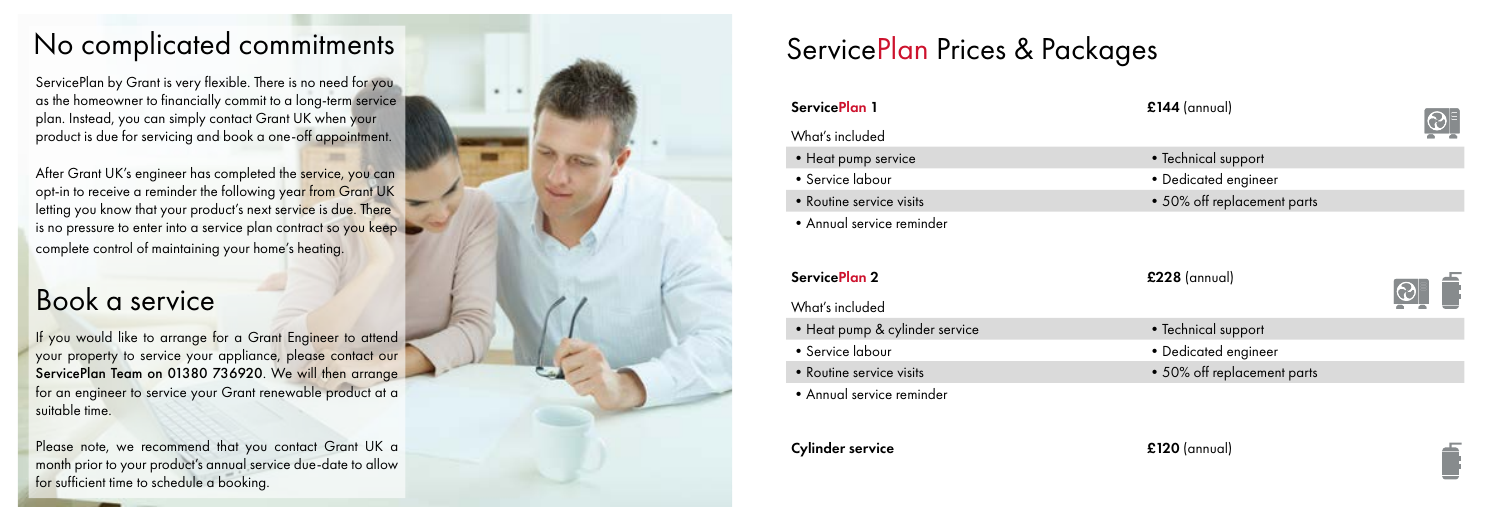ServicePlan by Grant is very flexible. There is no need for you as the homeowner to financially commit to a long-term service plan. Instead, you can simply contact Grant UK when your product is due for servicing and book a one-off appointment.

After Grant UK's engineer has completed the service, you can opt-in to receive a reminder the following year from Grant UK letting you know that your product's next service is due. There is no pressure to enter into a service plan contract so you keep complete control of maintaining your home's heating.

If you would like to arrange for a Grant Engineer to attend your property to service your appliance, please contact our ServicePlan Team on 01380 736920. We will then arrange for an engineer to service your Grant renewable product at a suitable time.

## No complicated commitments

## Book a service

- Heat pump service Technical support
- 
- 
- •Annual service reminder

## ServicePlan 2 **£228** (annual)

- Heat pump & cylinder service Technical support
- 
- 
- •Annual service reminder

## Cylinder service **E120** (annual)



- 
- Service labour Dedicated engineer
- Routine service visits 50% off replacement parts

- 
- Service labour Dedicated engineer
- Routine service visits 50% off replacement parts







Please note, we recommend that you contact Grant UK a month prior to your product's annual service due-date to allow for sufficient time to schedule a booking.



## ServicePlan Prices & Packages

### ServicePlan 1 **E144** (annual)

### What's included

What's included